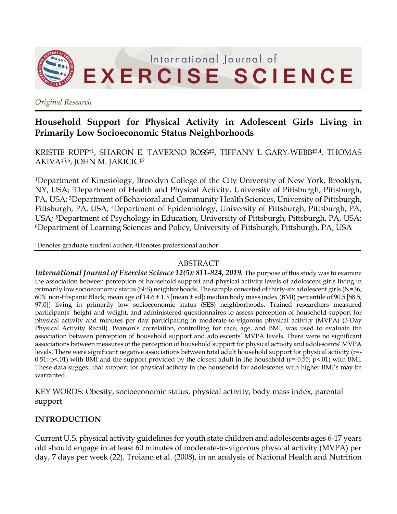

*Original Research*

# **Household Support for Physical Activity in Adolescent Girls Living in Primarily Low Socioeconomic Status Neighborhoods**

KRISTIE RUPP†1, SHARON E. TAVERNO ROSS‡2, TIFFANY L GARY-WEBB‡3,4, THOMAS AKIVA‡5,6, JOHN M. JAKICIC‡2

1Department of Kinesiology, Brooklyn College of the City University of New York, Brooklyn, NY, USA; 2Department of Health and Physical Activity, University of Pittsburgh, Pittsburgh, PA, USA; 3Department of Behavioral and Community Health Sciences, University of Pittsburgh, Pittsburgh, PA, USA; 4Department of Epidemiology, University of Pittsburgh, Pittsburgh, PA, USA; <sup>5</sup>Department of Psychology in Education, University of Pittsburgh, Pittsburgh, PA, USA; 6Department of Learning Sciences and Policy, University of Pittsburgh, Pittsburgh, PA, USA

†Denotes graduate student author, ‡Denotes professional author

#### ABSTRACT

*International Journal of Exercise Science 12(5): 811-824, 2019.* The purpose of this study was to examine the association between perception of household support and physical activity levels of adolescent girls living in primarily low socioeconomic status (SES) neighborhoods. The sample consisted of thirty-six adolescent girls (N=36; 60% non-Hispanic Black; mean age of  $14.6 \pm 1.3$  [mean  $\pm$  sd]; median body mass index (BMI) percentile of 90.5 [58.5, 97.0]) living in primarily low socioeconomic status (SES) neighborhoods. Trained researchers measured participants' height and weight, and administered questionnaires to assess perception of household support for physical activity and minutes per day participating in moderate-to-vigorous physical activity (MVPA) (3-Day Physical Activity Recall). Pearson's correlation, controlling for race, age, and BMI, was used to evaluate the association between perception of household support and adolescents' MVPA levels. There were no significant associations between measures of the perception of household support for physical activity and adolescents' MVPA levels. There were significant negative associations between total adult household support for physical activity (r=- 0.51; p<.01) with BMI and the support provided by the closest adult in the household ( $r=-0.55$ ; p<.01) with BMI. These data suggest that support for physical activity in the household for adolescents with higher BMI's may be warranted.

KEY WORDS: Obesity, socioeconomic status, physical activity, body mass index, parental support

## **INTRODUCTION**

Current U.S. physical activity guidelines for youth state children and adolescents ages 6-17 years old should engage in at least 60 minutes of moderate-to-vigorous physical activity (MVPA) per day, 7 days per week (22). Troiano et al. (2008), in an analysis of National Health and Nutrition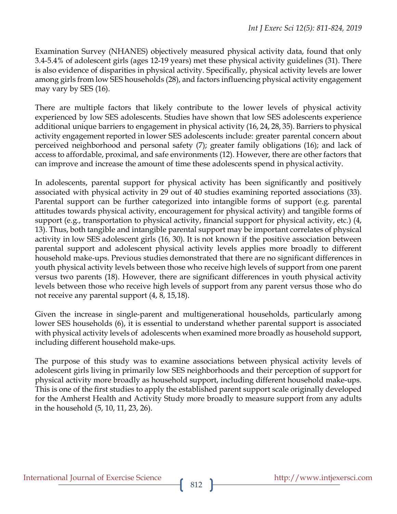Examination Survey (NHANES) objectively measured physical activity data, found that only 3.4-5.4% of adolescent girls (ages 12-19 years) met these physical activity guidelines (31). There is also evidence of disparities in physical activity. Specifically, physical activity levels are lower among girls from low SES households (28), and factors influencing physical activity engagement may vary by SES (16).

There are multiple factors that likely contribute to the lower levels of physical activity experienced by low SES adolescents. Studies have shown that low SES adolescents experience additional unique barriers to engagement in physical activity (16, 24, 28, 35). Barriers to physical activity engagement reported in lower SES adolescents include: greater parental concern about perceived neighborhood and personal safety (7); greater family obligations (16); and lack of access to affordable, proximal, and safe environments (12). However, there are other factors that can improve and increase the amount of time these adolescents spend in physical activity.

In adolescents, parental support for physical activity has been significantly and positively associated with physical activity in 29 out of 40 studies examining reported associations (33). Parental support can be further categorized into intangible forms of support (e.g. parental attitudes towards physical activity, encouragement for physical activity) and tangible forms of support (e.g., transportation to physical activity, financial support for physical activity, etc.) (4, 13). Thus, both tangible and intangible parental support may be important correlates of physical activity in low SES adolescent girls (16, 30). It is not known if the positive association between parental support and adolescent physical activity levels applies more broadly to different household make-ups. Previous studies demonstrated that there are no significant differences in youth physical activity levels between those who receive high levels of support from one parent versus two parents (18). However, there are significant differences in youth physical activity levels between those who receive high levels of support from any parent versus those who do not receive any parental support (4, 8, 15,18).

Given the increase in single-parent and multigenerational households, particularly among lower SES households (6), it is essential to understand whether parental support is associated with physical activity levels of adolescents when examined more broadly as household support, including different household make-ups.

The purpose of this study was to examine associations between physical activity levels of adolescent girls living in primarily low SES neighborhoods and their perception of support for physical activity more broadly as household support, including different household make-ups. This is one of the first studies to apply the established parent support scale originally developed for the Amherst Health and Activity Study more broadly to measure support from any adults in the household (5, 10, 11, 23, 26).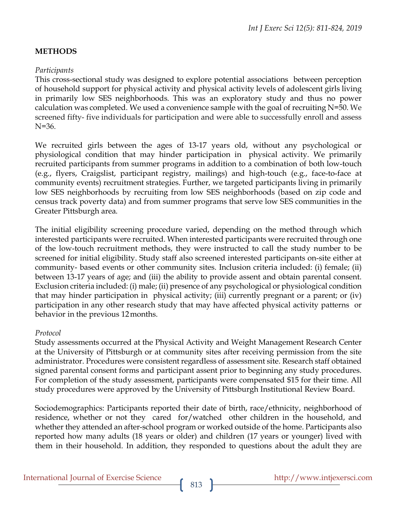## **METHODS**

#### *Participants*

This cross-sectional study was designed to explore potential associations between perception of household support for physical activity and physical activity levels of adolescent girls living in primarily low SES neighborhoods. This was an exploratory study and thus no power calculation was completed. We used a convenience sample with the goal of recruiting N=50. We screened fifty- five individuals for participation and were able to successfully enroll and assess N=36.

We recruited girls between the ages of 13-17 years old, without any psychological or physiological condition that may hinder participation in physical activity. We primarily recruited participants from summer programs in addition to a combination of both low-touch (e.g., flyers, Craigslist, participant registry, mailings) and high-touch (e.g., face-to-face at community events) recruitment strategies. Further, we targeted participants living in primarily low SES neighborhoods by recruiting from low SES neighborhoods (based on zip code and census track poverty data) and from summer programs that serve low SES communities in the Greater Pittsburgh area.

The initial eligibility screening procedure varied, depending on the method through which interested participants were recruited. When interested participants were recruited through one of the low-touch recruitment methods, they were instructed to call the study number to be screened for initial eligibility. Study staff also screened interested participants on-site either at community- based events or other community sites. Inclusion criteria included: (i) female; (ii) between 13-17 years of age; and (iii) the ability to provide assent and obtain parental consent. Exclusion criteria included: (i) male; (ii) presence of any psychological or physiological condition that may hinder participation in physical activity; (iii) currently pregnant or a parent; or (iv) participation in any other research study that may have affected physical activity patterns or behavior in the previous 12months.

#### *Protocol*

Study assessments occurred at the Physical Activity and Weight Management Research Center at the University of Pittsburgh or at community sites after receiving permission from the site administrator. Procedures were consistent regardless of assessment site. Research staff obtained signed parental consent forms and participant assent prior to beginning any study procedures. For completion of the study assessment, participants were compensated \$15 for their time. All study procedures were approved by the University of Pittsburgh Institutional Review Board.

Sociodemographics: Participants reported their date of birth, race/ethnicity, neighborhood of residence, whether or not they cared for/watched other children in the household, and whether they attended an after-school program or worked outside of the home. Participants also reported how many adults (18 years or older) and children (17 years or younger) lived with them in their household. In addition, they responded to questions about the adult they are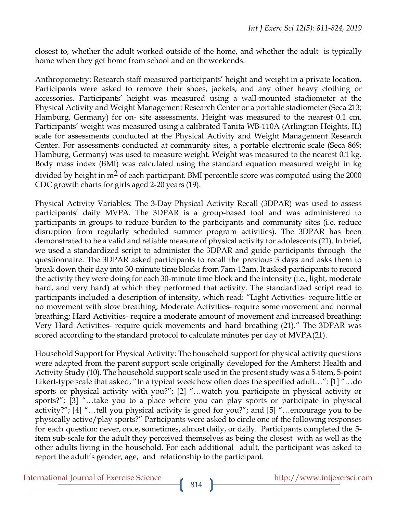closest to, whether the adult worked outside of the home, and whether the adult is typically home when they get home from school and on theweekends.

Anthropometry: Research staff measured participants' height and weight in a private location. Participants were asked to remove their shoes, jackets, and any other heavy clothing or accessories. Participants' height was measured using a wall-mounted stadiometer at the Physical Activity and Weight Management Research Center or a portable stadiometer (Seca 213; Hamburg, Germany) for on- site assessments. Height was measured to the nearest 0.1 cm. Participants' weight was measured using a calibrated Tanita WB-110A (Arlington Heights, IL) scale for assessments conducted at the Physical Activity and Weight Management Research Center. For assessments conducted at community sites, a portable electronic scale (Seca 869; Hamburg, Germany) was used to measure weight. Weight was measured to the nearest 0.1 kg. Body mass index (BMI) was calculated using the standard equation measured weight in kg divided by height in  $m<sup>2</sup>$  of each participant. BMI percentile score was computed using the 2000 CDC growth charts for girls aged 2-20 years (19).

Physical Activity Variables: The 3-Day Physical Activity Recall (3DPAR) was used to assess participants' daily MVPA. The 3DPAR is a group-based tool and was administered to participants in groups to reduce burden to the participants and community sites (i.e. reduce disruption from regularly scheduled summer program activities). The 3DPAR has been demonstrated to be a valid and reliable measure of physical activity for adolescents (21). In brief, we used a standardized script to administer the 3DPAR and guide participants through the questionnaire. The 3DPAR asked participants to recall the previous 3 days and asks them to break down their day into 30-minute time blocks from 7am-12am. It asked participants to record the activity they were doing for each 30-minute time block and the intensity (i.e., light, moderate hard, and very hard) at which they performed that activity. The standardized script read to participants included a description of intensity, which read: "Light Activities- require little or no movement with slow breathing; Moderate Activities- require some movement and normal breathing; Hard Activities- require a moderate amount of movement and increased breathing; Very Hard Activities- require quick movements and hard breathing (21)." The 3DPAR was scored according to the standard protocol to calculate minutes per day of MVPA(21).

Household Support for Physical Activity: The household support for physical activity questions were adapted from the parent support scale originally developed for the Amherst Health and Activity Study (10). The household support scale used in the present study was a 5-item, 5-point Likert-type scale that asked, "In a typical week how often does the specified adult…": [1] "…do sports or physical activity with you?"; [2] "…watch you participate in physical activity or sports?"; [3] "…take you to a place where you can play sports or participate in physical activity?"; [4] "…tell you physical activity is good for you?"; and [5] "…encourage you to be physically active/play sports?" Participants were asked to circle one of the following responses for each question: never, once, sometimes, almost daily, or daily. Participants completed the 5 item sub-scale for the adult they perceived themselves as being the closest with as well as the other adults living in the household. For each additional adult, the participant was asked to report the adult's gender, age, and relationship to the participant.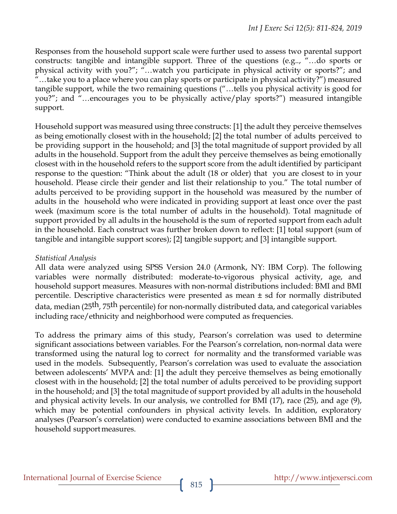Responses from the household support scale were further used to assess two parental support constructs: tangible and intangible support. Three of the questions (e.g.., "…do sports or physical activity with you?"; "…watch you participate in physical activity or sports?"; and "...take you to a place where you can play sports or participate in physical activity?") measured tangible support, while the two remaining questions ("…tells you physical activity is good for you?"; and "…encourages you to be physically active/play sports?") measured intangible support.

Household support was measured using three constructs: [1] the adult they perceive themselves as being emotionally closest with in the household; [2] the total number of adults perceived to be providing support in the household; and [3] the total magnitude of support provided by all adults in the household. Support from the adult they perceive themselves as being emotionally closest with in the household refers to the support score from the adult identified by participant response to the question: "Think about the adult (18 or older) that you are closest to in your household. Please circle their gender and list their relationship to you." The total number of adults perceived to be providing support in the household was measured by the number of adults in the household who were indicated in providing support at least once over the past week (maximum score is the total number of adults in the household). Total magnitude of support provided by all adults in the household is the sum of reported support from each adult in the household. Each construct was further broken down to reflect: [1] total support (sum of tangible and intangible support scores); [2] tangible support; and [3] intangible support.

## *Statistical Analysis*

All data were analyzed using SPSS Version 24.0 (Armonk, NY: IBM Corp). The following variables were normally distributed: moderate-to-vigorous physical activity, age, and household support measures. Measures with non-normal distributions included: BMI and BMI percentile. Descriptive characteristics were presented as mean  $\pm$  sd for normally distributed data, median (25<sup>th</sup>, 75<sup>th</sup> percentile) for non-normally distributed data, and categorical variables including race/ethnicity and neighborhood were computed as frequencies.

To address the primary aims of this study, Pearson's correlation was used to determine significant associations between variables. For the Pearson's correlation, non-normal data were transformed using the natural log to correct for normality and the transformed variable was used in the models. Subsequently, Pearson's correlation was used to evaluate the association between adolescents' MVPA and: [1] the adult they perceive themselves as being emotionally closest with in the household; [2] the total number of adults perceived to be providing support in the household; and [3] the total magnitude of support provided by all adults in the household and physical activity levels. In our analysis, we controlled for BMI (17), race (25), and age (9), which may be potential confounders in physical activity levels. In addition, exploratory analyses (Pearson's correlation) were conducted to examine associations between BMI and the household supportmeasures.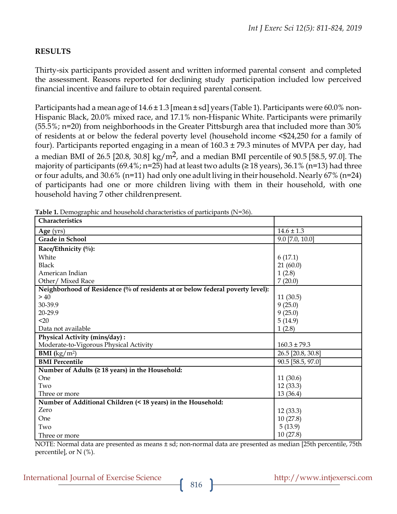## **RESULTS**

Thirty-six participants provided assent and written informed parental consent and completed the assessment. Reasons reported for declining study participation included low perceived financial incentive and failure to obtain required parental consent.

Participants had a mean age of  $14.6 \pm 1.3$  [mean  $\pm$  sd] years (Table 1). Participants were 60.0% non-Hispanic Black, 20.0% mixed race, and 17.1% non-Hispanic White. Participants were primarily (55.5%; n=20) from neighborhoods in the Greater Pittsburgh area that included more than 30% of residents at or below the federal poverty level (household income <\$24,250 for a family of four). Participants reported engaging in a mean of 160.3 ± 79.3 minutes of MVPA per day, had a median BMI of 26.5 [20.8, 30.8] kg/m<sup>2</sup>, and a median BMI percentile of 90.5 [58.5, 97.0]. The majority of participants (69.4%; n=25) had at least two adults ( $\geq$  18 years), 36.1% (n=13) had three or four adults, and 30.6% (n=11) had only one adult living in their household. Nearly 67% (n=24) of participants had one or more children living with them in their household, with one household having 7 other childrenpresent.

| <b>Table 1.</b> Demographic and nousehold characteristics of participants (18–50).<br>Characteristics |                   |
|-------------------------------------------------------------------------------------------------------|-------------------|
| Age (yrs)                                                                                             | $14.6 \pm 1.3$    |
| Grade in School                                                                                       | $9.0$ [7.0, 10.0] |
| Race/Ethnicity (%):                                                                                   |                   |
| White                                                                                                 | 6(17.1)           |
| <b>Black</b>                                                                                          | 21(60.0)          |
| American Indian                                                                                       | 1(2.8)            |
| Other/ Mixed Race                                                                                     | 7(20.0)           |
| Neighborhood of Residence (% of residents at or below federal poverty level):                         |                   |
| >40                                                                                                   | 11(30.5)          |
| 30-39.9                                                                                               | 9(25.0)           |
| 20-29.9                                                                                               | 9(25.0)           |
| $20$                                                                                                  | 5(14.9)           |
| Data not available                                                                                    | 1(2.8)            |
| Physical Activity (mins/day):                                                                         |                   |
| Moderate-to-Vigorous Physical Activity                                                                | $160.3 \pm 79.3$  |
| <b>BMI</b> ( $\text{kg/m}^2$ )                                                                        | 26.5 [20.8, 30.8] |
| <b>BMI</b> Percentile                                                                                 | 90.5 [58.5, 97.0] |
| Number of Adults ( $\geq 18$ years) in the Household:                                                 |                   |
| One                                                                                                   | 11(30.6)          |
| Two                                                                                                   | 12(33.3)          |
| Three or more                                                                                         | 13(36.4)          |
| Number of Additional Children (< 18 years) in the Household:                                          |                   |
| Zero                                                                                                  | 12(33.3)          |
| One                                                                                                   | 10(27.8)          |
| Two                                                                                                   | 5(13.9)           |
| Three or more                                                                                         | 10(27.8)          |

**Table 1.** Demographic and household characteristics of participants (N=36).

NOTE: Normal data are presented as means ± sd; non-normal data are presented as median [25th percentile, 75th percentile], or  $N$  (%).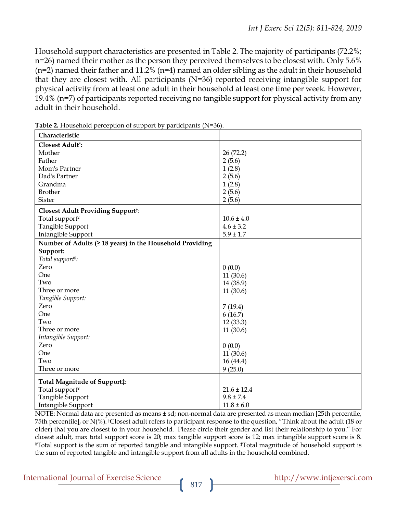Household support characteristics are presented in Table 2. The majority of participants (72.2%; n=26) named their mother as the person they perceived themselves to be closest with. Only 5.6% (n=2) named their father and 11.2% (n=4) named an older sibling as the adult in their household that they are closest with. All participants (N=36) reported receiving intangible support for physical activity from at least one adult in their household at least one time per week. However, 19.4% (n=7) of participants reported receiving no tangible support for physical activity from any adult in their household.

| Characteristic                                                                                       |                                                                |
|------------------------------------------------------------------------------------------------------|----------------------------------------------------------------|
| <b>Closest Adult*:</b>                                                                               |                                                                |
| Mother                                                                                               | 26 (72.2)                                                      |
| Father                                                                                               | 2(5.6)                                                         |
| Mom's Partner                                                                                        | 1(2.8)                                                         |
| Dad's Partner                                                                                        | 2(5.6)                                                         |
| Grandma                                                                                              | 1(2.8)                                                         |
| <b>Brother</b>                                                                                       | 2(5.6)                                                         |
| Sister                                                                                               | 2(5.6)                                                         |
| <b>Closest Adult Providing Supportt:</b>                                                             |                                                                |
| Total support <sup>¥</sup>                                                                           | $10.6 \pm 4.0$                                                 |
| Tangible Support                                                                                     | $4.6 \pm 3.2$                                                  |
| Intangible Support                                                                                   | $5.9 \pm 1.7$                                                  |
| Number of Adults ( $\geq$ 18 years) in the Household Providing                                       |                                                                |
| Support:                                                                                             |                                                                |
| Total support <sup>¥</sup> :                                                                         |                                                                |
| Zero                                                                                                 | 0(0.0)                                                         |
| One                                                                                                  | 11 (30.6)                                                      |
| Two                                                                                                  | 14 (38.9)                                                      |
| Three or more                                                                                        | 11(30.6)                                                       |
| Tangible Support:                                                                                    |                                                                |
| Zero                                                                                                 | 7(19.4)                                                        |
| One                                                                                                  | 6(16.7)                                                        |
| Two                                                                                                  | 12(33.3)                                                       |
| Three or more                                                                                        | 11(30.6)                                                       |
| Intangible Support:                                                                                  |                                                                |
| Zero                                                                                                 | 0(0.0)                                                         |
| One                                                                                                  | 11(30.6)                                                       |
| Two                                                                                                  |                                                                |
| Three or more                                                                                        | 9(25.0)                                                        |
|                                                                                                      |                                                                |
|                                                                                                      |                                                                |
|                                                                                                      |                                                                |
|                                                                                                      |                                                                |
| Total Magnitude of Support‡:<br>Total support <sup>¥</sup><br>Tangible Support<br>Intangible Support | 16(44.4)<br>$21.6 \pm 12.4$<br>$9.8 \pm 7.4$<br>$11.8 \pm 6.0$ |

**Table 2.** Household perception of support by participants (N=36).

NOTE: Normal data are presented as means ± sd; non-normal data are presented as mean median [25th percentile, 75th percentile], or N(%). †Closest adult refers to participant response to the question, "Think about the adult (18 or older) that you are closest to in your household. Please circle their gender and list their relationship to you." For closest adult, max total support score is 20; max tangible support score is 12; max intangible support score is 8.<br>¥Total support is the sum of reported tangible and intangible support. ‡Total magnitude of household suppor the sum of reported tangible and intangible support from all adults in the household combined.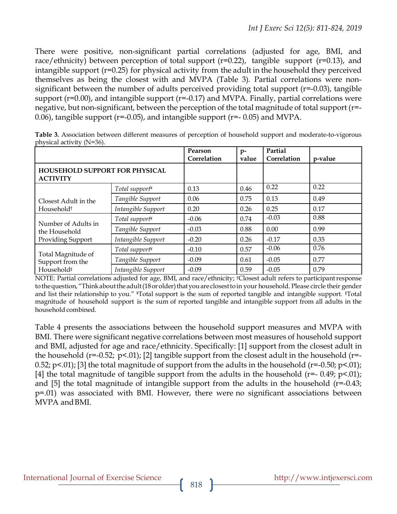There were positive, non-significant partial correlations (adjusted for age, BMI, and race/ethnicity) between perception of total support ( $r=0.22$ ), tangible support ( $r=0.13$ ), and intangible support (r=0.25) for physical activity from the adult in the household they perceived themselves as being the closest with and MVPA (Table 3). Partial correlations were nonsignificant between the number of adults perceived providing total support (r=-0.03), tangible support ( $r=0.00$ ), and intangible support ( $r=-0.17$ ) and MVPA. Finally, partial correlations were negative, but non-significant, between the perception of the total magnitude of total support (r=- 0.06), tangible support ( $r=-0.05$ ), and intangible support ( $r=-0.05$ ) and MVPA.

|                                                                  |                            | Pearson<br>Correlation | $p-$<br>value | Partial<br>Correlation | p-value |
|------------------------------------------------------------------|----------------------------|------------------------|---------------|------------------------|---------|
| <b>HOUSEHOLD SUPPORT FOR PHYSICAL</b><br><b>ACTIVITY</b>         |                            |                        |               |                        |         |
| Closest Adult in the<br>Household <sup>+</sup>                   | Total support <sup>¥</sup> | 0.13                   | 0.46          | 0.22                   | 0.22    |
|                                                                  | Tangible Support           | 0.06                   | 0.75          | 0.13                   | 0.49    |
|                                                                  | Intangible Support         | 0.20                   | 0.26          | 0.25                   | 0.17    |
| Number of Adults in<br>the Household<br>Providing Support        | Total support <sup>¥</sup> | $-0.06$                | 0.74          | $-0.03$                | 0.88    |
|                                                                  | Tangible Support           | $-0.03$                | 0.88          | 0.00                   | 0.99    |
|                                                                  | Intangible Support         | $-0.20$                | 0.26          | $-0.17$                | 0.35    |
| Total Magnitude of<br>Support from the<br>Household <sup>#</sup> | Total support <sup>¥</sup> | $-0.10$                | 0.57          | $-0.06$                | 0.76    |
|                                                                  | Tangible Support           | $-0.09$                | 0.61          | $-0.05$                | 0.77    |
|                                                                  | Intangible Support         | $-0.09$                | 0.59          | $-0.05$                | 0.79    |

**Table 3.** Association between different measures of perception of household support and moderate-to-vigorous physical activity (N=36).

NOTE: Partial correlations adjusted for age, BMI, and race/ethnicity; †Closest adult refers to participantresponse to the question, "Think about the adult (18 or older) that you are closest to in your household. Please circle their gender and list their relationship to you." ¥Total support is the sum of reported tangible and intangible support. ‡Total magnitude of household support is the sum of reported tangible and intangible support from all adults in the household combined.

Table 4 presents the associations between the household support measures and MVPA with BMI. There were significant negative correlations between most measures of household support and BMI, adjusted for age and race/ethnicity. Specifically: [1] support from the closest adult in the household ( $r=-0.52$ ;  $p<.01$ ); [2] tangible support from the closest adult in the household ( $r=-$ 0.52; p<.01); [3] the total magnitude of support from the adults in the household (r=-0.50; p<.01); [4] the total magnitude of tangible support from the adults in the household ( $r=- 0.49$ ;  $p<-0.01$ ); and [5] the total magnitude of intangible support from the adults in the household (r=-0.43; p=.01) was associated with BMI. However, there were no significant associations between MVPA andBMI.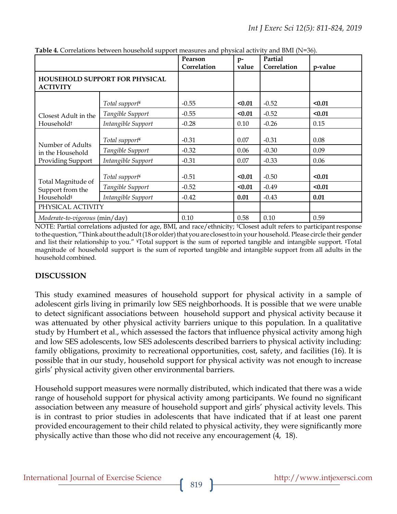|                                                                  |                            | Pearson<br>Correlation | $p-$<br>value | Partial<br>Correlation | p-value |
|------------------------------------------------------------------|----------------------------|------------------------|---------------|------------------------|---------|
| <b>HOUSEHOLD SUPPORT FOR PHYSICAL</b><br><b>ACTIVITY</b>         |                            |                        |               |                        |         |
| Closest Adult in the<br>Household <sup>+</sup>                   | Total support <sup>¥</sup> | $-0.55$                | $0.01$        | $-0.52$                | $0.01$  |
|                                                                  | Tangible Support           | $-0.55$                | $0.01$        | $-0.52$                | $0.01$  |
|                                                                  | Intangible Support         | $-0.28$                | 0.10          | $-0.26$                | 0.15    |
| Number of Adults<br>in the Household<br>Providing Support        | Total support <sup>¥</sup> | $-0.31$                | 0.07          | $-0.31$                | 0.08    |
|                                                                  | Tangible Support           | $-0.32$                | 0.06          | $-0.30$                | 0.09    |
|                                                                  | Intangible Support         | $-0.31$                | 0.07          | $-0.33$                | 0.06    |
| Total Magnitude of<br>Support from the<br>Household <sup>#</sup> | Total support <sup>¥</sup> | $-0.51$                | $0.01$        | $-0.50$                | $0.01$  |
|                                                                  | Tangible Support           | $-0.52$                | $0.01$        | $-0.49$                | $0.01$  |
|                                                                  | Intangible Support         | $-0.42$                | 0.01          | $-0.43$                | 0.01    |
| PHYSICAL ACTIVITY                                                |                            |                        |               |                        |         |
| Moderate-to-vigorous (min/day)                                   |                            | 0.10                   | 0.58          | 0.10                   | 0.59    |

**Table 4.** Correlations between household support measures and physical activity and BMI (N=36).

NOTE: Partial correlations adjusted for age, BMI, and race/ethnicity; <sup>†</sup>Closest adult refers to participant response to the question, "Think about the adult (18 or older) that you are closest to in your household. Please circle their gender and list their relationship to you." ¥Total support is the sum of reported tangible and intangible support. ‡Total magnitude of household support is the sum of reported tangible and intangible support from all adults in the household combined.

#### **DISCUSSION**

This study examined measures of household support for physical activity in a sample of adolescent girls living in primarily low SES neighborhoods. It is possible that we were unable to detect significant associations between household support and physical activity because it was attenuated by other physical activity barriers unique to this population. In a qualitative study by Humbert et al., which assessed the factors that influence physical activity among high and low SES adolescents, low SES adolescents described barriers to physical activity including: family obligations, proximity to recreational opportunities, cost, safety, and facilities (16). It is possible that in our study, household support for physical activity was not enough to increase girls' physical activity given other environmental barriers.

Household support measures were normally distributed, which indicated that there was a wide range of household support for physical activity among participants. We found no significant association between any measure of household support and girls' physical activity levels. This is in contrast to prior studies in adolescents that have indicated that if at least one parent provided encouragement to their child related to physical activity, they were significantly more physically active than those who did not receive any encouragement (4, 18).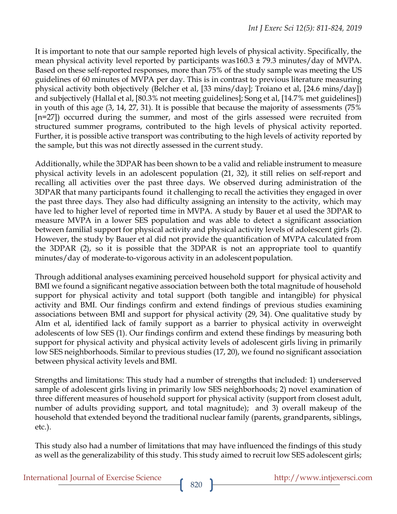It is important to note that our sample reported high levels of physical activity. Specifically, the mean physical activity level reported by participants was160.3 ± 79.3 minutes/day of MVPA. Based on these self-reported responses, more than 75% of the study sample was meeting the US guidelines of 60 minutes of MVPA per day. This is in contrast to previous literature measuring physical activity both objectively (Belcher et al, [33 mins/day]; Troiano et al, [24.6 mins/day]) and subjectively (Hallal et al, [80.3% not meeting guidelines]; Song et al, [14.7% met guidelines]) in youth of this age (3, 14, 27, 31). It is possible that because the majority of assessments (75% [n=27]) occurred during the summer, and most of the girls assessed were recruited from structured summer programs, contributed to the high levels of physical activity reported. Further, it is possible active transport was contributing to the high levels of activity reported by the sample, but this was not directly assessed in the current study.

Additionally, while the 3DPAR has been shown to be a valid and reliable instrument to measure physical activity levels in an adolescent population (21, 32), it still relies on self-report and recalling all activities over the past three days. We observed during administration of the 3DPAR that many participants found it challenging to recall the activities they engaged in over the past three days. They also had difficulty assigning an intensity to the activity, which may have led to higher level of reported time in MVPA. A study by Bauer et al used the 3DPAR to measure MVPA in a lower SES population and was able to detect a significant association between familial support for physical activity and physical activity levels of adolescent girls (2). However, the study by Bauer et al did not provide the quantification of MVPA calculated from the 3DPAR (2), so it is possible that the 3DPAR is not an appropriate tool to quantify minutes/day of moderate-to-vigorous activity in an adolescent population.

Through additional analyses examining perceived household support for physical activity and BMI we found a significant negative association between both the total magnitude of household support for physical activity and total support (both tangible and intangible) for physical activity and BMI. Our findings confirm and extend findings of previous studies examining associations between BMI and support for physical activity (29, 34). One qualitative study by Alm et al, identified lack of family support as a barrier to physical activity in overweight adolescents of low SES (1). Our findings confirm and extend these findings by measuring both support for physical activity and physical activity levels of adolescent girls living in primarily low SES neighborhoods. Similar to previous studies (17, 20), we found no significant association between physical activity levels andBMI.

Strengths and limitations: This study had a number of strengths that included: 1) underserved sample of adolescent girls living in primarily low SES neighborhoods; 2) novel examination of three different measures of household support for physical activity (support from closest adult, number of adults providing support, and total magnitude); and 3) overall makeup of the household that extended beyond the traditional nuclear family (parents, grandparents, siblings, etc.).

This study also had a number of limitations that may have influenced the findings of this study as well as the generalizability of this study. This study aimed to recruit low SES adolescent girls;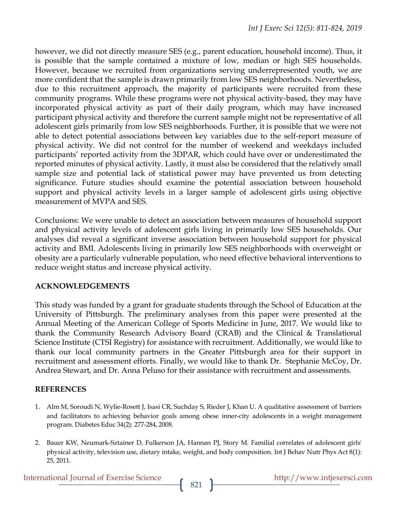however, we did not directly measure SES (e.g., parent education, household income). Thus, it is possible that the sample contained a mixture of low, median or high SES households. However, because we recruited from organizations serving underrepresented youth, we are more confident that the sample is drawn primarily from low SES neighborhoods. Nevertheless, due to this recruitment approach, the majority of participants were recruited from these community programs. While these programs were not physical activity-based, they may have incorporated physical activity as part of their daily program, which may have increased participant physical activity and therefore the current sample might not be representative of all adolescent girls primarily from low SES neighborhoods. Further, it is possible that we were not able to detect potential associations between key variables due to the self-report measure of physical activity. We did not control for the number of weekend and weekdays included participants' reported activity from the 3DPAR, which could have over or underestimated the reported minutes of physical activity*.* Lastly, it must also be considered that the relatively small sample size and potential lack of statistical power may have prevented us from detecting significance. Future studies should examine the potential association between household support and physical activity levels in a larger sample of adolescent girls using objective measurement of MVPA and SES.

Conclusions: We were unable to detect an association between measures of household support and physical activity levels of adolescent girls living in primarily low SES households. Our analyses did reveal a significant inverse association between household support for physical activity and BMI. Adolescents living in primarily low SES neighborhoods with overweight or obesity are a particularly vulnerable population, who need effective behavioral interventions to reduce weight status and increase physical activity.

#### **ACKNOWLEDGEMENTS**

This study was funded by a grant for graduate students through the School of Education at the University of Pittsburgh. The preliminary analyses from this paper were presented at the Annual Meeting of the American College of Sports Medicine in June, 2017. We would like to thank the Community Research Advisory Board (CRAB) and the Clinical & Translational Science Institute (CTSI Registry) for assistance with recruitment. Additionally, we would like to thank our local community partners in the Greater Pittsburgh area for their support in recruitment and assessment efforts. Finally, we would like to thank Dr. Stephanie McCoy, Dr. Andrea Stewart, and Dr. Anna Peluso for their assistance with recruitment and assessments.

## **REFERENCES**

- 1. Alm M, Soroudi N, Wylie-Rosett J, Isasi CR, Suchday S, Rieder J, Khan U. A qualitative assessment of barriers and facilitators to achieving behavior goals among obese inner-city adolescents in a weight management program. Diabetes Educ 34(2): 277-284, 2008.
- 2. Bauer KW, Neumark-Sztainer D, Fulkerson JA, Hannan PJ, Story M. Familial correlates of adolescent girls' physical activity, television use, dietary intake, weight, and body composition. Int J Behav Nutr Phys Act 8(1): 25, 2011.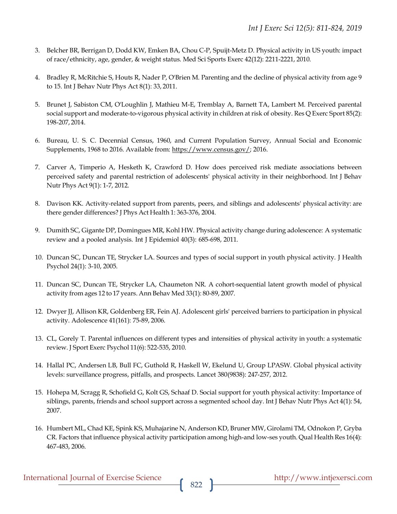- 3. Belcher BR, Berrigan D, Dodd KW, Emken BA, Chou C-P, Spuijt-Metz D. Physical activity in US youth: impact of race/ethnicity, age, gender, & weight status. Med Sci Sports Exerc 42(12): 2211-2221, 2010.
- 4. Bradley R, McRitchie S, Houts R, Nader P, O'Brien M. Parenting and the decline of physical activity from age 9 to 15. Int J Behav Nutr Phys Act 8(1): 33, 2011.
- 5. Brunet J, Sabiston CM, O'Loughlin J, Mathieu M-E, Tremblay A, Barnett TA, Lambert M. Perceived parental social support and moderate-to-vigorous physical activity in children at risk of obesity. Res Q Exerc Sport 85(2): 198-207, 2014.
- 6. Bureau, U. S. C. Decennial Census, 1960, and Current Population Survey, Annual Social and Economic Supplements, 1968 to 2016. Available from: https://www.census.gov/; 2016.
- 7. Carver A, Timperio A, Hesketh K, Crawford D. How does perceived risk mediate associations between perceived safety and parental restriction of adolescents' physical activity in their neighborhood. Int J Behav Nutr Phys Act 9(1): 1-7, 2012.
- 8. Davison KK. Activity-related support from parents, peers, and siblings and adolescents' physical activity: are there gender differences? J Phys Act Health 1: 363-376, 2004.
- 9. Dumith SC, Gigante DP, Domingues MR, Kohl HW. Physical activity change during adolescence: A systematic review and a pooled analysis. Int J Epidemiol 40(3): 685-698, 2011.
- 10. Duncan SC, Duncan TE, Strycker LA. Sources and types of social support in youth physical activity. J Health Psychol 24(1): 3-10, 2005.
- 11. Duncan SC, Duncan TE, Strycker LA, Chaumeton NR. A cohort-sequential latent growth model of physical activity from ages 12 to 17 years. Ann Behav Med 33(1): 80-89, 2007.
- 12. Dwyer JJ, Allison KR, Goldenberg ER, Fein AJ. Adolescent girls' perceived barriers to participation in physical activity. Adolescence 41(161): 75-89, 2006.
- 13. CL, Gorely T. Parental influences on different types and intensities of physical activity in youth: a systematic review. J Sport Exerc Psychol 11(6): 522-535, 2010.
- 14. Hallal PC, Andersen LB, Bull FC, Guthold R, Haskell W, Ekelund U, Group LPASW. Global physical activity levels: surveillance progress, pitfalls, and prospects. Lancet 380(9838): 247-257, 2012.
- 15. Hohepa M, Scragg R, Schofield G, Kolt GS, Schaaf D. Social support for youth physical activity: Importance of siblings, parents, friends and school support across a segmented school day. Int J Behav Nutr Phys Act 4(1): 54, 2007.
- 16. Humbert ML, Chad KE, Spink KS, Muhajarine N, Anderson KD, Bruner MW, Girolami TM, Odnokon P, Gryba CR. Factors that influence physical activity participation among high-and low-ses youth. Qual Health Res 16(4): 467-483, 2006.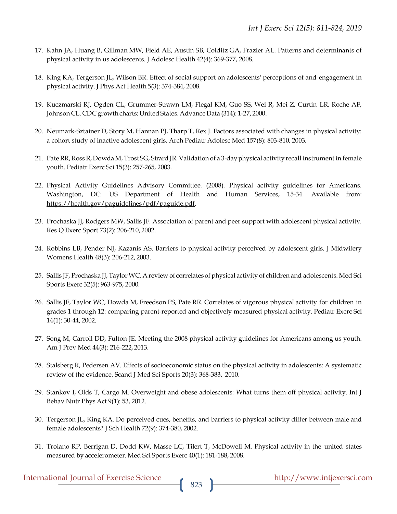- 17. Kahn JA, Huang B, Gillman MW, Field AE, Austin SB, Colditz GA, Frazier AL. Patterns and determinants of physical activity in us adolescents. J Adolesc Health 42(4): 369-377, 2008.
- 18. King KA, Tergerson JL, Wilson BR. Effect of social support on adolescents' perceptions of and engagement in physical activity. J Phys Act Health 5(3): 374-384, 2008.
- 19. Kuczmarski RJ, Ogden CL, Grummer-Strawn LM, Flegal KM, Guo SS, Wei R, Mei Z, Curtin LR, Roche AF, Johnson CL. CDC growth charts: United States. Advance Data (314): 1-27, 2000.
- 20. Neumark-Sztainer D, Story M, Hannan PJ, Tharp T, Rex J. Factors associated with changes in physical activity: a cohort study of inactive adolescent girls. Arch Pediatr Adolesc Med 157(8): 803-810, 2003.
- 21. Pate RR, Ross R, Dowda M, Trost SG, Sirard JR. Validation of a 3-day physical activity recall instrument in female youth. Pediatr Exerc Sci 15(3): 257-265, 2003.
- 22. Physical Activity Guidelines Advisory Committee. (2008). Physical activity guidelines for Americans. Washington, DC: US Department of Health and Human Services, 15-34. Available from: https://health.gov/paguidelines/pdf/paguide.pdf.
- 23. Prochaska JJ, Rodgers MW, Sallis JF. Association of parent and peer support with adolescent physical activity. Res Q Exerc Sport 73(2): 206-210, 2002.
- 24. Robbins LB, Pender NJ, Kazanis AS. Barriers to physical activity perceived by adolescent girls. J Midwifery Womens Health 48(3): 206-212, 2003.
- 25. Sallis JF, Prochaska JJ, TaylorWC. Areview of correlatesof physical activity of children and adolescents. Med Sci Sports Exerc 32(5): 963-975, 2000.
- 26. Sallis JF, Taylor WC, Dowda M, Freedson PS, Pate RR. Correlates of vigorous physical activity for children in grades 1 through 12: comparing parent-reported and objectively measured physical activity. Pediatr Exerc Sci 14(1): 30-44, 2002.
- 27. Song M, Carroll DD, Fulton JE. Meeting the 2008 physical activity guidelines for Americans among us youth. Am J Prev Med 44(3): 216-222, 2013.
- 28. Stalsberg R, Pedersen AV. Effects of socioeconomic status on the physical activity in adolescents: A systematic review of the evidence. Scand J Med Sci Sports 20(3): 368-383, 2010.
- 29. Stankov I, Olds T, Cargo M. Overweight and obese adolescents: What turns them off physical activity. Int J Behav Nutr Phys Act 9(1): 53, 2012.
- 30. Tergerson JL, King KA. Do perceived cues, benefits, and barriers to physical activity differ between male and female adolescents? J Sch Health 72(9): 374-380, 2002.
- 31. Troiano RP, Berrigan D, Dodd KW, Masse LC, Tilert T, McDowell M. Physical activity in the united states measured by accelerometer. Med Sci Sports Exerc 40(1): 181-188, 2008.